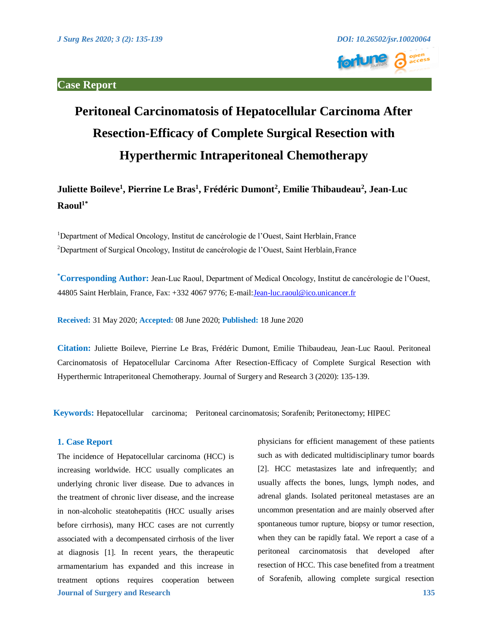

# **Peritoneal Carcinomatosis of Hepatocellular Carcinoma After Resection-Efficacy of Complete Surgical Resection with Hyperthermic Intraperitoneal Chemotherapy**

Juliette Boileve<sup>1</sup>, Pierrine Le Bras<sup>1</sup>, Frédéric Dumont<sup>2</sup>, Emilie Thibaudeau<sup>2</sup>, Jean-Luc **Raoul1\***

<sup>1</sup>Department of Medical Oncology, Institut de cancérologie de l'Ouest, Saint Herblain, France <sup>2</sup>Department of Surgical Oncology, Institut de cancérologie de l'Ouest, Saint Herblain, France

**\* Corresponding Author:** Jean-Luc Raoul, Department of Medical Oncology, Institut de cancérologie de l'Ouest, 44805 Saint Herblain, France, Fax: +332 4067 9776; E-mail[: Jean-luc.raoul@ico.unicancer.fr](mailto:Jean-luc.raoul@ico.unicancer.fr) 

**Received:** 31 May 2020; **Accepted:** 08 June 2020; **Published:** 18 June 2020

**Citation:** Juliette Boileve, Pierrine Le Bras, Frédéric Dumont, Emilie Thibaudeau, Jean-Luc Raoul. Peritoneal Carcinomatosis of Hepatocellular Carcinoma After Resection-Efficacy of Complete Surgical Resection with Hyperthermic Intraperitoneal Chemotherapy. Journal of Surgery and Research 3 (2020): 135-139.

**Keywords:** Hepatocellular carcinoma; Peritoneal carcinomatosis; Sorafenib; Peritonectomy; HIPEC

## **1. Case Report**

**Journal of Surgery and Research 135**  The incidence of Hepatocellular carcinoma (HCC) is increasing worldwide. HCC usually complicates an underlying chronic liver disease. Due to advances in the treatment of chronic liver disease, and the increase in non-alcoholic steatohepatitis (HCC usually arises before cirrhosis), many HCC cases are not currently associated with a decompensated cirrhosis of the liver at diagnosis [1]. In recent years, the therapeutic armamentarium has expanded and this increase in treatment options requires cooperation between

physicians for efficient management of these patients such as with dedicated multidisciplinary tumor boards [2]. HCC metastasizes late and infrequently; and usually affects the bones, lungs, lymph nodes, and adrenal glands. Isolated peritoneal metastases are an uncommon presentation and are mainly observed after spontaneous tumor rupture, biopsy or tumor resection, when they can be rapidly fatal. We report a case of a peritoneal carcinomatosis that developed after resection of HCC. This case benefited from a treatment of Sorafenib, allowing complete surgical resection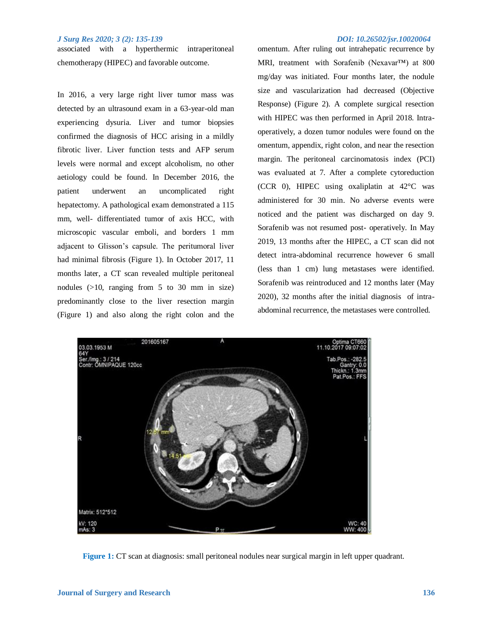#### *J Surg Res 2020; 3 (2): 135-139 DOI: 10.26502/jsr.10020064*

associated with a hyperthermic intraperitoneal chemotherapy (HIPEC) and favorable outcome.

In 2016, a very large right liver tumor mass was detected by an ultrasound exam in a 63-year-old man experiencing dysuria. Liver and tumor biopsies confirmed the diagnosis of HCC arising in a mildly fibrotic liver. Liver function tests and AFP serum levels were normal and except alcoholism, no other aetiology could be found. In December 2016, the patient underwent an uncomplicated right hepatectomy. A pathological exam demonstrated a 115 mm, well- differentiated tumor of axis HCC, with microscopic vascular emboli, and borders 1 mm adjacent to Glisson's capsule. The peritumoral liver had minimal fibrosis (Figure 1). In October 2017, 11 months later, a CT scan revealed multiple peritoneal nodules (>10, ranging from 5 to 30 mm in size) predominantly close to the liver resection margin (Figure 1) and also along the right colon and the

omentum. After ruling out intrahepatic recurrence by MRI, treatment with Sorafenib (Nexavar™) at 800 mg/day was initiated. Four months later, the nodule size and vascularization had decreased (Objective Response) (Figure 2). A complete surgical resection with HIPEC was then performed in April 2018. Intraoperatively, a dozen tumor nodules were found on the omentum, appendix, right colon, and near the resection margin. The peritoneal carcinomatosis index (PCI) was evaluated at 7. After a complete cytoreduction (CCR 0), HIPEC using oxaliplatin at 42°C was administered for 30 min. No adverse events were noticed and the patient was discharged on day 9. Sorafenib was not resumed post- operatively. In May 2019, 13 months after the HIPEC, a CT scan did not detect intra-abdominal recurrence however 6 small (less than 1 cm) lung metastases were identified. Sorafenib was reintroduced and 12 months later (May 2020), 32 months after the initial diagnosis of intraabdominal recurrence, the metastases were controlled.



**Figure 1:** CT scan at diagnosis: small peritoneal nodules near surgical margin in left upper quadrant.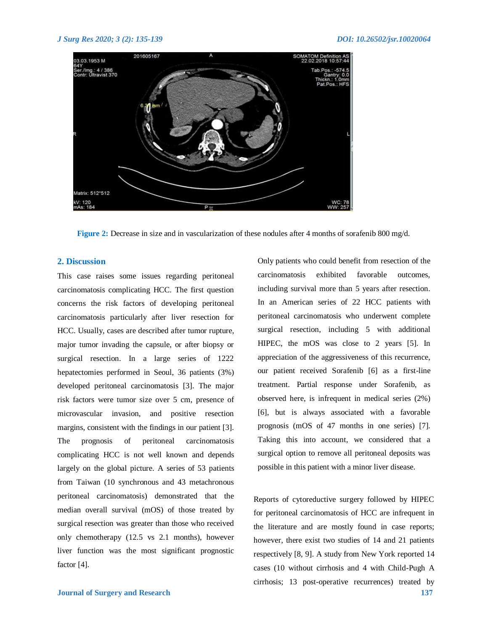

**Figure 2:** Decrease in size and in vascularization of these nodules after 4 months of sorafenib 800 mg/d.

### **2. Discussion**

This case raises some issues regarding peritoneal carcinomatosis complicating HCC. The first question concerns the risk factors of developing peritoneal carcinomatosis particularly after liver resection for HCC. Usually, cases are described after tumor rupture, major tumor invading the capsule, or after biopsy or surgical resection. In a large series of 1222 hepatectomies performed in Seoul, 36 patients (3%) developed peritoneal carcinomatosis [3]. The major risk factors were tumor size over 5 cm, presence of microvascular invasion, and positive resection margins, consistent with the findings in our patient [3]. The prognosis of peritoneal carcinomatosis complicating HCC is not well known and depends largely on the global picture. A series of 53 patients from Taiwan (10 synchronous and 43 metachronous peritoneal carcinomatosis) demonstrated that the median overall survival (mOS) of those treated by surgical resection was greater than those who received only chemotherapy (12.5 vs 2.1 months), however liver function was the most significant prognostic factor [4].

carcinomatosis exhibited favorable outcomes, including survival more than 5 years after resection. In an American series of 22 HCC patients with peritoneal carcinomatosis who underwent complete surgical resection, including 5 with additional HIPEC, the mOS was close to 2 years [5]. In appreciation of the aggressiveness of this recurrence, our patient received Sorafenib [6] as a first-line treatment. Partial response under Sorafenib, as observed here, is infrequent in medical series (2%) [6], but is always associated with a favorable prognosis (mOS of 47 months in one series) [7]. Taking this into account, we considered that a surgical option to remove all peritoneal deposits was possible in this patient with a minor liver disease.

Only patients who could benefit from resection of the

**Journal of Surgery and Research 137** Reports of cytoreductive surgery followed by HIPEC for peritoneal carcinomatosis of HCC are infrequent in the literature and are mostly found in case reports; however, there exist two studies of 14 and 21 patients respectively [8, 9]. A study from New York reported 14 cases (10 without cirrhosis and 4 with Child-Pugh A cirrhosis; 13 post-operative recurrences) treated by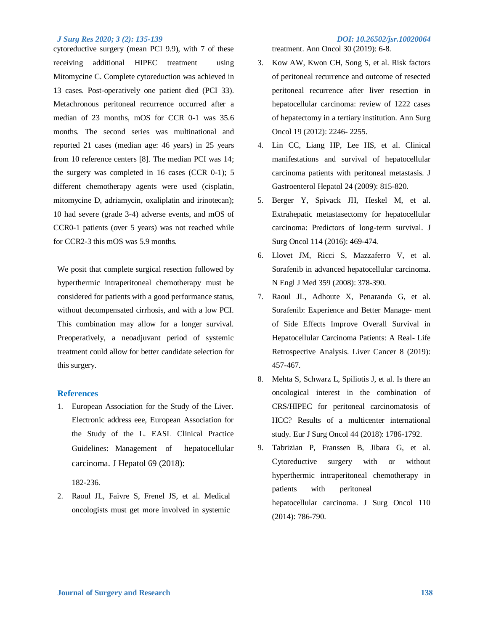### *J Surg Res 2020; 3 (2): 135-139 DOI: 10.26502/jsr.10020064*

cytoreductive surgery (mean PCI 9.9), with 7 of these receiving additional HIPEC treatment using Mitomycine C. Complete cytoreduction was achieved in 13 cases. Post-operatively one patient died (PCI 33). Metachronous peritoneal recurrence occurred after a median of 23 months, mOS for CCR 0-1 was 35.6 months. The second series was multinational and reported 21 cases (median age: 46 years) in 25 years from 10 reference centers [8]. The median PCI was 14; the surgery was completed in 16 cases (CCR 0-1); 5 different chemotherapy agents were used (cisplatin, mitomycine D, adriamycin, oxaliplatin and irinotecan); 10 had severe (grade 3-4) adverse events, and mOS of CCR0-1 patients (over 5 years) was not reached while for CCR2-3 this mOS was 5.9 months.

We posit that complete surgical resection followed by hyperthermic intraperitoneal chemotherapy must be considered for patients with a good performance status, without decompensated cirrhosis, and with a low PCI. This combination may allow for a longer survival. Preoperatively, a neoadjuvant period of systemic treatment could allow for better candidate selection for this surgery.

### **References**

1. European Association for the Study of the Liver. Electronic address eee, European Association for the Study of the L. EASL Clinical Practice Guidelines: Management of hepatocellular carcinoma. J Hepatol 69 (2018):

182-236.

2. Raoul JL, Faivre S, Frenel JS, et al. Medical oncologists must get more involved in systemic

treatment. Ann Oncol 30 (2019): 6-8.

- 3. Kow AW, Kwon CH, Song S, et al. Risk factors of peritoneal recurrence and outcome of resected peritoneal recurrence after liver resection in hepatocellular carcinoma: review of 1222 cases of hepatectomy in a tertiary institution. Ann Surg Oncol 19 (2012): 2246- 2255.
- 4. Lin CC, Liang HP, Lee HS, et al. Clinical manifestations and survival of hepatocellular carcinoma patients with peritoneal metastasis. J Gastroenterol Hepatol 24 (2009): 815-820.
- 5. Berger Y, Spivack JH, Heskel M, et al. Extrahepatic metastasectomy for hepatocellular carcinoma: Predictors of long-term survival. J Surg Oncol 114 (2016): 469-474.
- 6. Llovet JM, Ricci S, Mazzaferro V, et al. Sorafenib in advanced hepatocellular carcinoma. N Engl J Med 359 (2008): 378-390.
- 7. Raoul JL, Adhoute X, Penaranda G, et al. Sorafenib: Experience and Better Manage- ment of Side Effects Improve Overall Survival in Hepatocellular Carcinoma Patients: A Real- Life Retrospective Analysis. Liver Cancer 8 (2019): 457-467.
- 8. Mehta S, Schwarz L, Spiliotis J, et al. Is there an oncological interest in the combination of CRS/HIPEC for peritoneal carcinomatosis of HCC? Results of a multicenter international study. Eur J Surg Oncol 44 (2018): 1786-1792.
- 9. Tabrizian P, Franssen B, Jibara G, et al. Cytoreductive surgery with or without hyperthermic intraperitoneal chemotherapy in patients with peritoneal hepatocellular carcinoma. J Surg Oncol 110 (2014): 786-790.